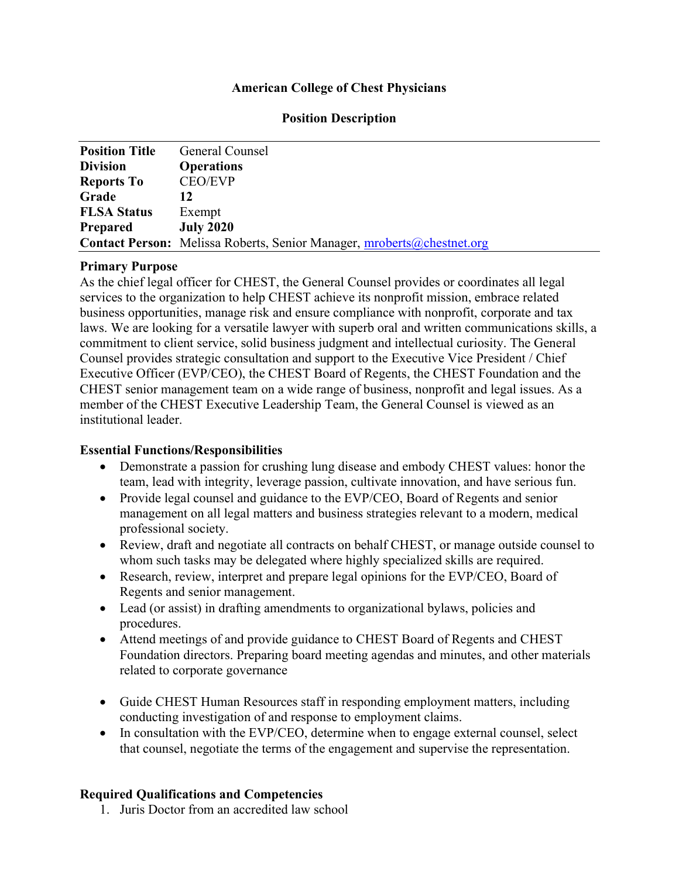# American College of Chest Physicians

| <b>Position Title</b> | General Counsel                                                               |
|-----------------------|-------------------------------------------------------------------------------|
| <b>Division</b>       | <b>Operations</b>                                                             |
| <b>Reports To</b>     | <b>CEO/EVP</b>                                                                |
| Grade                 | 12                                                                            |
| <b>FLSA Status</b>    | Exempt                                                                        |
| <b>Prepared</b>       | <b>July 2020</b>                                                              |
|                       | <b>Contact Person:</b> Melissa Roberts, Senior Manager, mroberts@chestnet.org |

## Primary Purpose

As the chief legal officer for CHEST, the General Counsel provides or coordinates all legal services to the organization to help CHEST achieve its nonprofit mission, embrace related business opportunities, manage risk and ensure compliance with nonprofit, corporate and tax laws. We are looking for a versatile lawyer with superb oral and written communications skills, a commitment to client service, solid business judgment and intellectual curiosity. The General Counsel provides strategic consultation and support to the Executive Vice President / Chief Executive Officer (EVP/CEO), the CHEST Board of Regents, the CHEST Foundation and the CHEST senior management team on a wide range of business, nonprofit and legal issues. As a member of the CHEST Executive Leadership Team, the General Counsel is viewed as an institutional leader.

## Essential Functions/Responsibilities

- Demonstrate a passion for crushing lung disease and embody CHEST values: honor the team, lead with integrity, leverage passion, cultivate innovation, and have serious fun.
- Provide legal counsel and guidance to the EVP/CEO, Board of Regents and senior management on all legal matters and business strategies relevant to a modern, medical professional society.
- Review, draft and negotiate all contracts on behalf CHEST, or manage outside counsel to whom such tasks may be delegated where highly specialized skills are required.
- Research, review, interpret and prepare legal opinions for the EVP/CEO, Board of Regents and senior management.
- Lead (or assist) in drafting amendments to organizational bylaws, policies and procedures.
- Attend meetings of and provide guidance to CHEST Board of Regents and CHEST Foundation directors. Preparing board meeting agendas and minutes, and other materials related to corporate governance
- Guide CHEST Human Resources staff in responding employment matters, including conducting investigation of and response to employment claims.
- In consultation with the EVP/CEO, determine when to engage external counsel, select that counsel, negotiate the terms of the engagement and supervise the representation.

## Required Qualifications and Competencies

1. Juris Doctor from an accredited law school